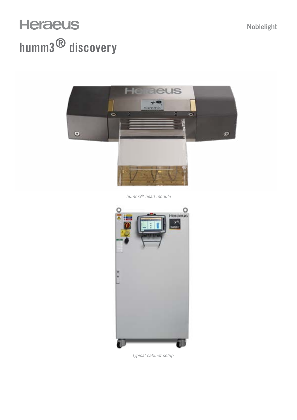## **Heraeus** humm3® discovery



*humm3*® *head module*



*Typical cabinet setup*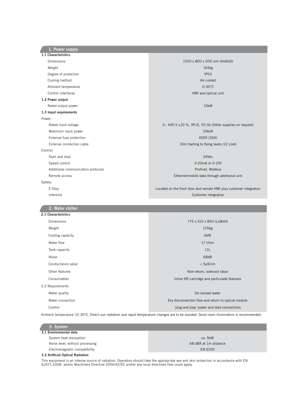1.1 Characteristics Dimensions 1500 x 800 x 500 mm (HxWxD) Weight 165kg Degree of protection and the control of the control of the control of the control of the control of the control of the control of the control of the control of the control of the control of the control of the control of th Cooling method **Air-cooled** Ambient temperature 0-35°C Control interfaces HMI and optical unit 1.2 Power output Rated output power and the control of the control of the control of the control of the control of the control of the control of the control of the control of the control of the control of the control of the control of the 1.3 Input requirements Power: Rated input voltage 3~ 400 V ±10 %, 3P+E, 50 Hz (Other supplies on request) Maximum input power 20kVA External fuse protection 400V (32A) External connection cable 10m Harting to flying leads (12 core) Control: Start and stop 24Vdc Speed control 4-20mA or 0-10V Additional communication protocols and a series of the extension of the extension of the Profinet, Modbus Remote access **Ethernet/mobile data through additional unit** Remote access **Ethernet/mobile data through additional unit** Safety: E-Stop Located on the front door and remote HMI plus customer integration Interlock Customer integration 2.1 Characteristics Dimensions 775 x 510 x 850 (LxWxH) Weight 125kg Cooling capacity 6kW water flow the contract of the contract of the contract of the contract of the contract of the contract of the contract of the contract of the contract of the contract of the contract of the contract of the contract of the Tank capacity and the state of the state of the state of the state of the state of the state of the state of the state of the state of the state of the state of the state of the state of the state of the state of the state Noise 68dB - Channel Communication of the Channel Communication of the Channel Communication of the Channel Co Conductance value < 5µS/cm Other features **Non-return, solenoid value** Non-return, solenoid value Consumables Inline DR cartridge and particulate features 2.2 Requirements Water quality De-ionised water Water connection **Dry disconnection** Dry disconnection flow and return to optical module Control 'plug and play' power and data connections 2. Water chiller 1. Power supply

Ambient temperature 10-35°C. Direct sun radiation and rapid temperature changes are to be avoided. Good room illumination is recommended.

| 3. System                       |                       |
|---------------------------------|-----------------------|
| 3.1 Environmental data          |                       |
| System heat dissipation         | ca. 5kW               |
| Noise level, without processing | 68 dBA at 1m distance |
| Electromagnetic compatibility   | EN 6100               |
| .                               |                       |

## 3.2 Artificial Optical Radiation

This equipment is an intense source of radiation. Operators should take the appropriate eye and skin protection in accordance with EN 62471:2008 and/or Machinery Directive 2006/42/EC and/or any local directives that could apply.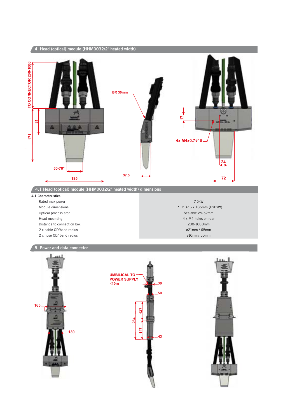

**43**